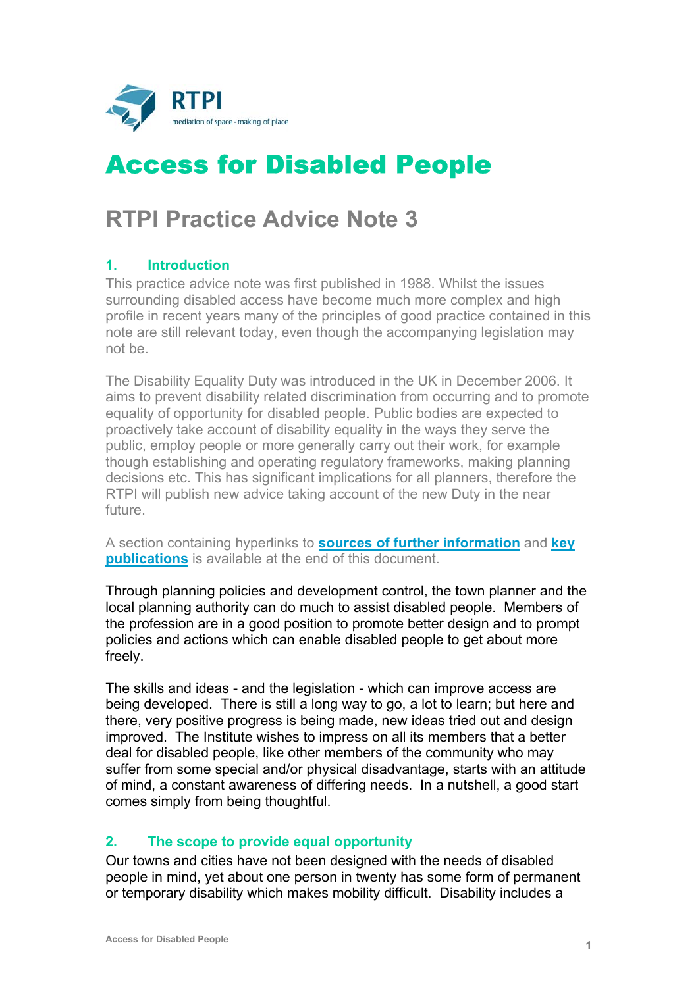

# Access for Disabled People

# **RTPI Practice Advice Note 3**

## **1. Introduction**

This practice advice note was first published in 1988. Whilst the issues surrounding disabled access have become much more complex and high profile in recent years many of the principles of good practice contained in this note are still relevant today, even though the accompanying legislation may not be.

The Disability Equality Duty was introduced in the UK in December 2006. It aims to prevent disability related discrimination from occurring and to promote equality of opportunity for disabled people. Public bodies are expected to proactively take account of disability equality in the ways they serve the public, employ people or more generally carry out their work, for example though establishing and operating regulatory frameworks, making planning decisions etc. This has significant implications for all planners, therefore the RTPI will publish new advice taking account of the new Duty in the near future.

A section containing hyperlinks to **[sources of further information](#page-5-0)** and **[key](#page-5-0) [publications](#page-5-0)** is available at the end of this document.

Through planning policies and development control, the town planner and the local planning authority can do much to assist disabled people. Members of the profession are in a good position to promote better design and to prompt policies and actions which can enable disabled people to get about more freely.

The skills and ideas - and the legislation - which can improve access are being developed. There is still a long way to go, a lot to learn; but here and there, very positive progress is being made, new ideas tried out and design improved. The Institute wishes to impress on all its members that a better deal for disabled people, like other members of the community who may suffer from some special and/or physical disadvantage, starts with an attitude of mind, a constant awareness of differing needs. In a nutshell, a good start comes simply from being thoughtful.

### **2. The scope to provide equal opportunity**

Our towns and cities have not been designed with the needs of disabled people in mind, yet about one person in twenty has some form of permanent or temporary disability which makes mobility difficult. Disability includes a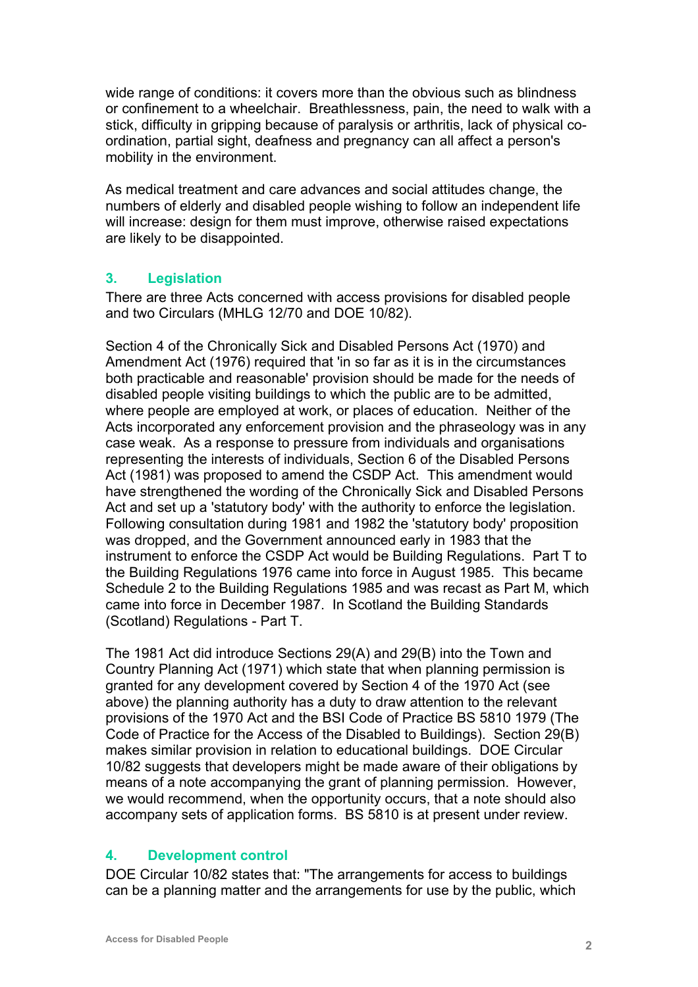wide range of conditions: it covers more than the obvious such as blindness or confinement to a wheelchair. Breathlessness, pain, the need to walk with a stick, difficulty in gripping because of paralysis or arthritis, lack of physical coordination, partial sight, deafness and pregnancy can all affect a person's mobility in the environment.

As medical treatment and care advances and social attitudes change, the numbers of elderly and disabled people wishing to follow an independent life will increase: design for them must improve, otherwise raised expectations are likely to be disappointed.

#### **3. Legislation**

There are three Acts concerned with access provisions for disabled people and two Circulars (MHLG 12/70 and DOE 10/82).

Section 4 of the Chronically Sick and Disabled Persons Act (1970) and Amendment Act (1976) required that 'in so far as it is in the circumstances both practicable and reasonable' provision should be made for the needs of disabled people visiting buildings to which the public are to be admitted, where people are employed at work, or places of education. Neither of the Acts incorporated any enforcement provision and the phraseology was in any case weak. As a response to pressure from individuals and organisations representing the interests of individuals, Section 6 of the Disabled Persons Act (1981) was proposed to amend the CSDP Act. This amendment would have strengthened the wording of the Chronically Sick and Disabled Persons Act and set up a 'statutory body' with the authority to enforce the legislation. Following consultation during 1981 and 1982 the 'statutory body' proposition was dropped, and the Government announced early in 1983 that the instrument to enforce the CSDP Act would be Building Regulations. Part T to the Building Regulations 1976 came into force in August 1985. This became Schedule 2 to the Building Regulations 1985 and was recast as Part M, which came into force in December 1987. In Scotland the Building Standards (Scotland) Regulations - Part T.

The 1981 Act did introduce Sections 29(A) and 29(B) into the Town and Country Planning Act (1971) which state that when planning permission is granted for any development covered by Section 4 of the 1970 Act (see above) the planning authority has a duty to draw attention to the relevant provisions of the 1970 Act and the BSI Code of Practice BS 5810 1979 (The Code of Practice for the Access of the Disabled to Buildings). Section 29(B) makes similar provision in relation to educational buildings. DOE Circular 10/82 suggests that developers might be made aware of their obligations by means of a note accompanying the grant of planning permission. However, we would recommend, when the opportunity occurs, that a note should also accompany sets of application forms. BS 5810 is at present under review.

#### **4. Development control**

DOE Circular 10/82 states that: "The arrangements for access to buildings can be a planning matter and the arrangements for use by the public, which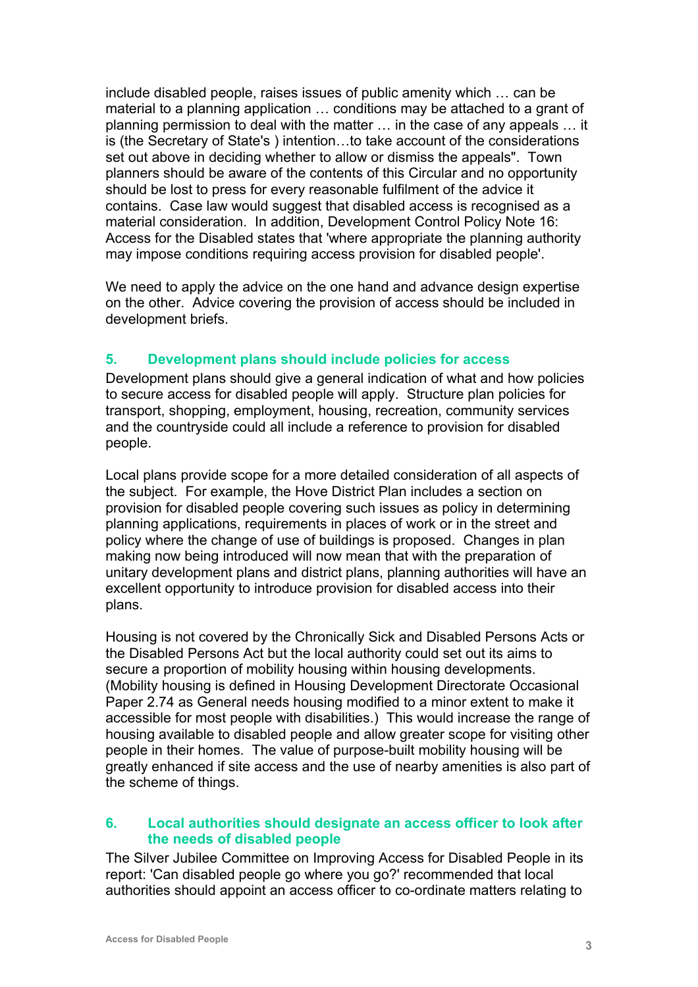include disabled people, raises issues of public amenity which … can be material to a planning application … conditions may be attached to a grant of planning permission to deal with the matter … in the case of any appeals … it is (the Secretary of State's ) intention…to take account of the considerations set out above in deciding whether to allow or dismiss the appeals". Town planners should be aware of the contents of this Circular and no opportunity should be lost to press for every reasonable fulfilment of the advice it contains. Case law would suggest that disabled access is recognised as a material consideration. In addition, Development Control Policy Note 16: Access for the Disabled states that 'where appropriate the planning authority may impose conditions requiring access provision for disabled people'.

We need to apply the advice on the one hand and advance design expertise on the other. Advice covering the provision of access should be included in development briefs.

#### **5. Development plans should include policies for access**

Development plans should give a general indication of what and how policies to secure access for disabled people will apply. Structure plan policies for transport, shopping, employment, housing, recreation, community services and the countryside could all include a reference to provision for disabled people.

Local plans provide scope for a more detailed consideration of all aspects of the subject. For example, the Hove District Plan includes a section on provision for disabled people covering such issues as policy in determining planning applications, requirements in places of work or in the street and policy where the change of use of buildings is proposed. Changes in plan making now being introduced will now mean that with the preparation of unitary development plans and district plans, planning authorities will have an excellent opportunity to introduce provision for disabled access into their plans.

Housing is not covered by the Chronically Sick and Disabled Persons Acts or the Disabled Persons Act but the local authority could set out its aims to secure a proportion of mobility housing within housing developments. (Mobility housing is defined in Housing Development Directorate Occasional Paper 2.74 as General needs housing modified to a minor extent to make it accessible for most people with disabilities.) This would increase the range of housing available to disabled people and allow greater scope for visiting other people in their homes. The value of purpose-built mobility housing will be greatly enhanced if site access and the use of nearby amenities is also part of the scheme of things.

#### **6. Local authorities should designate an access officer to look after the needs of disabled people**

The Silver Jubilee Committee on Improving Access for Disabled People in its report: 'Can disabled people go where you go?' recommended that local authorities should appoint an access officer to co-ordinate matters relating to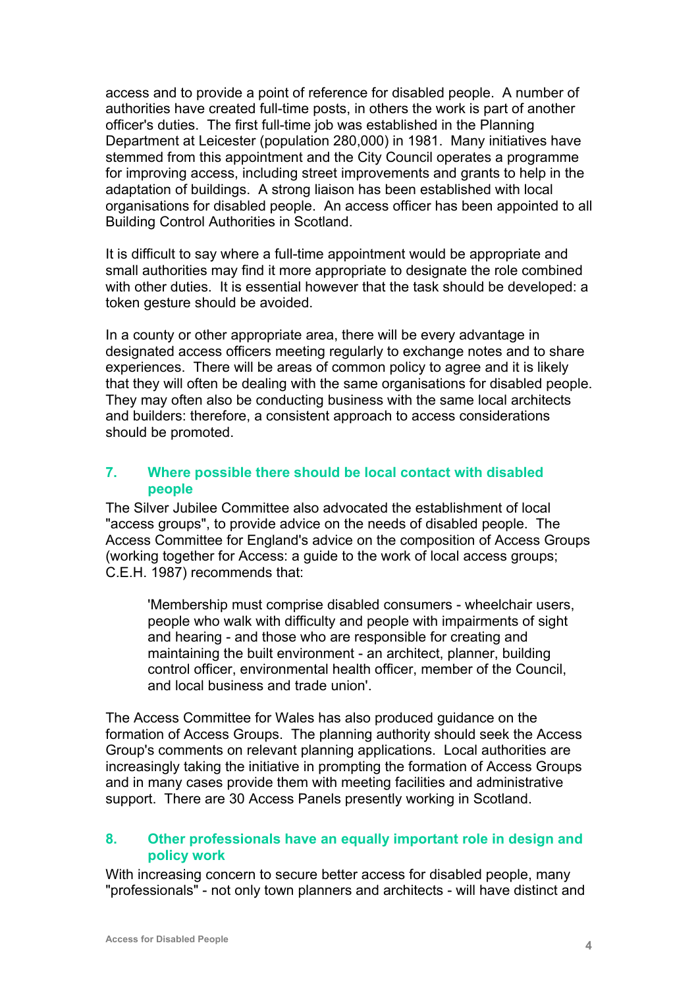access and to provide a point of reference for disabled people. A number of authorities have created full-time posts, in others the work is part of another officer's duties. The first full-time job was established in the Planning Department at Leicester (population 280,000) in 1981. Many initiatives have stemmed from this appointment and the City Council operates a programme for improving access, including street improvements and grants to help in the adaptation of buildings. A strong liaison has been established with local organisations for disabled people. An access officer has been appointed to all Building Control Authorities in Scotland.

It is difficult to say where a full-time appointment would be appropriate and small authorities may find it more appropriate to designate the role combined with other duties. It is essential however that the task should be developed: a token gesture should be avoided.

In a county or other appropriate area, there will be every advantage in designated access officers meeting regularly to exchange notes and to share experiences. There will be areas of common policy to agree and it is likely that they will often be dealing with the same organisations for disabled people. They may often also be conducting business with the same local architects and builders: therefore, a consistent approach to access considerations should be promoted.

#### **7. Where possible there should be local contact with disabled people**

The Silver Jubilee Committee also advocated the establishment of local "access groups", to provide advice on the needs of disabled people. The Access Committee for England's advice on the composition of Access Groups (working together for Access: a guide to the work of local access groups; C.E.H. 1987) recommends that:

'Membership must comprise disabled consumers - wheelchair users, people who walk with difficulty and people with impairments of sight and hearing - and those who are responsible for creating and maintaining the built environment - an architect, planner, building control officer, environmental health officer, member of the Council, and local business and trade union'.

The Access Committee for Wales has also produced guidance on the formation of Access Groups. The planning authority should seek the Access Group's comments on relevant planning applications. Local authorities are increasingly taking the initiative in prompting the formation of Access Groups and in many cases provide them with meeting facilities and administrative support. There are 30 Access Panels presently working in Scotland.

#### **8. Other professionals have an equally important role in design and policy work**

With increasing concern to secure better access for disabled people, many "professionals" - not only town planners and architects - will have distinct and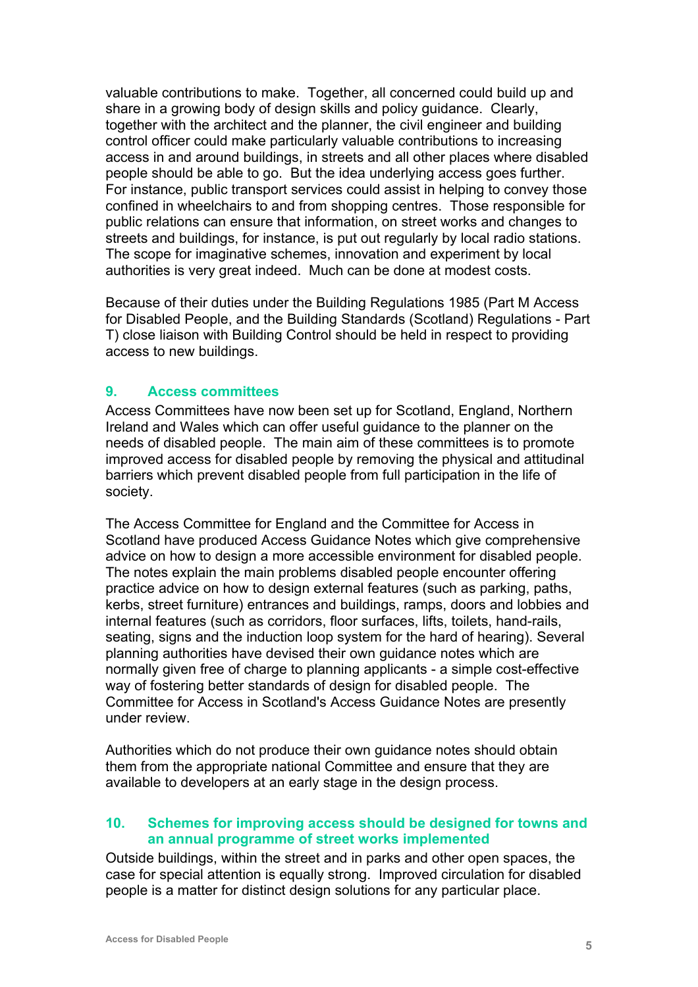valuable contributions to make. Together, all concerned could build up and share in a growing body of design skills and policy guidance. Clearly, together with the architect and the planner, the civil engineer and building control officer could make particularly valuable contributions to increasing access in and around buildings, in streets and all other places where disabled people should be able to go. But the idea underlying access goes further. For instance, public transport services could assist in helping to convey those confined in wheelchairs to and from shopping centres. Those responsible for public relations can ensure that information, on street works and changes to streets and buildings, for instance, is put out regularly by local radio stations. The scope for imaginative schemes, innovation and experiment by local authorities is very great indeed. Much can be done at modest costs.

Because of their duties under the Building Regulations 1985 (Part M Access for Disabled People, and the Building Standards (Scotland) Regulations - Part T) close liaison with Building Control should be held in respect to providing access to new buildings.

#### **9. Access committees**

Access Committees have now been set up for Scotland, England, Northern Ireland and Wales which can offer useful guidance to the planner on the needs of disabled people. The main aim of these committees is to promote improved access for disabled people by removing the physical and attitudinal barriers which prevent disabled people from full participation in the life of society.

The Access Committee for England and the Committee for Access in Scotland have produced Access Guidance Notes which give comprehensive advice on how to design a more accessible environment for disabled people. The notes explain the main problems disabled people encounter offering practice advice on how to design external features (such as parking, paths, kerbs, street furniture) entrances and buildings, ramps, doors and lobbies and internal features (such as corridors, floor surfaces, lifts, toilets, hand-rails, seating, signs and the induction loop system for the hard of hearing). Several planning authorities have devised their own guidance notes which are normally given free of charge to planning applicants - a simple cost-effective way of fostering better standards of design for disabled people. The Committee for Access in Scotland's Access Guidance Notes are presently under review.

Authorities which do not produce their own guidance notes should obtain them from the appropriate national Committee and ensure that they are available to developers at an early stage in the design process.

#### **10. Schemes for improving access should be designed for towns and an annual programme of street works implemented**

Outside buildings, within the street and in parks and other open spaces, the case for special attention is equally strong. Improved circulation for disabled people is a matter for distinct design solutions for any particular place.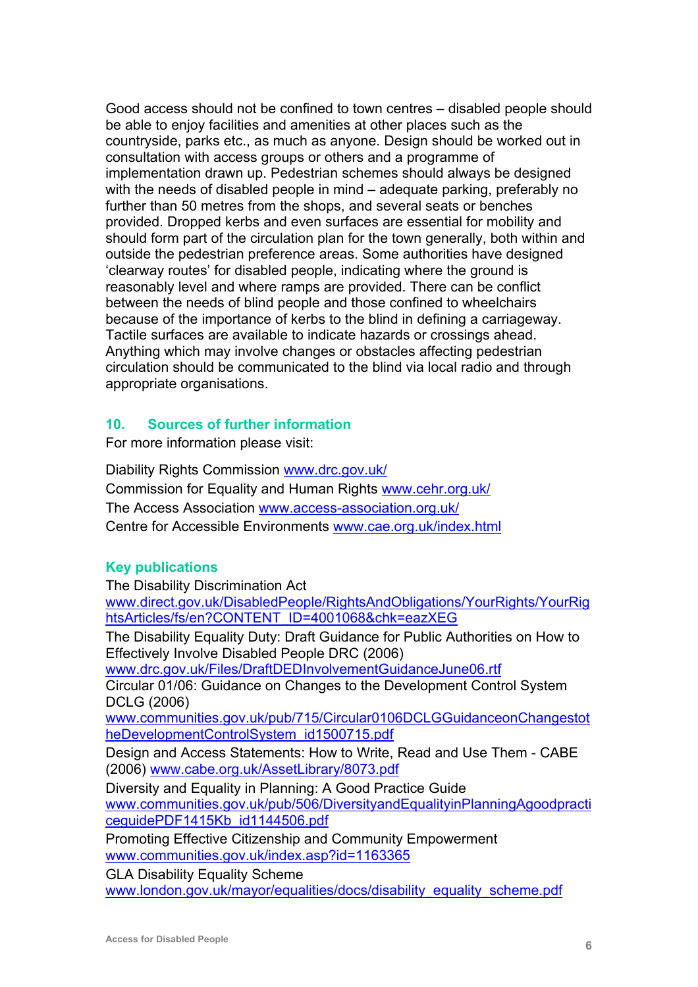<span id="page-5-0"></span>Good access should not be confined to town centres – disabled people should be able to enjoy facilities and amenities at other places such as the countryside, parks etc., as much as anyone. Design should be worked out in consultation with access groups or others and a programme of implementation drawn up. Pedestrian schemes should always be designed with the needs of disabled people in mind – adequate parking, preferably no further than 50 metres from the shops, and several seats or benches provided. Dropped kerbs and even surfaces are essential for mobility and should form part of the circulation plan for the town generally, both within and outside the pedestrian preference areas. Some authorities have designed 'clearway routes' for disabled people, indicating where the ground is reasonably level and where ramps are provided. There can be conflict between the needs of blind people and those confined to wheelchairs because of the importance of kerbs to the blind in defining a carriageway. Tactile surfaces are available to indicate hazards or crossings ahead. Anything which may involve changes or obstacles affecting pedestrian circulation should be communicated to the blind via local radio and through appropriate organisations.

#### **10. Sources of further information**

For more information please visit:

Diability Rights Commission [www.drc.gov.uk/](http://www.drc.gov.uk/) Commission for Equality and Human Rights [www.cehr.org.uk/](http://www.cehr.org.uk/) The Access Association [www.access-association.org.uk/](http://www.access-association.org.uk/) Centre for Accessible Environments [www.cae.org.uk/index.html](http://www.cae.org.uk/index.html)

#### **Key publications**

The Disability Discrimination Act

[www.direct.gov.uk/DisabledPeople/RightsAndObligations/YourRights/YourRig](http://www.direct.gov.uk/DisabledPeople/RightsAndObligations/YourRights/YourRightsArticles/fs/en?CONTENT_ID=4001068&chk=eazXEG) [htsArticles/fs/en?CONTENT\\_ID=4001068&chk=eazXEG](http://www.direct.gov.uk/DisabledPeople/RightsAndObligations/YourRights/YourRightsArticles/fs/en?CONTENT_ID=4001068&chk=eazXEG)

The Disability Equality Duty: Draft Guidance for Public Authorities on How to Effectively Involve Disabled People DRC (2006)

[www.drc.gov.uk/Files/DraftDEDInvolvementGuidanceJune06.rtf](http://www.drc.gov.uk/Files/DraftDEDInvolvementGuidanceJune06.rtf)

Circular 01/06: Guidance on Changes to the Development Control System DCLG (2006)

[www.communities.gov.uk/pub/715/Circular0106DCLGGuidanceonChangestot](http://www.communities.gov.uk/pub/715/Circular0106DCLGGuidanceonChangestotheDevelopmentControlSystem_id1500715.pdf) [heDevelopmentControlSystem\\_id1500715.pdf](http://www.communities.gov.uk/pub/715/Circular0106DCLGGuidanceonChangestotheDevelopmentControlSystem_id1500715.pdf)

Design and Access Statements: How to Write, Read and Use Them - CABE (2006) [www.cabe.org.uk/AssetLibrary/8073.pdf](http://www.cabe.org.uk/AssetLibrary/8073.pdf)

Diversity and Equality in Planning: A Good Practice Guide

[www.communities.gov.uk/pub/506/DiversityandEqualityinPlanningAgoodpracti](http://www.communities.gov.uk/pub/506/DiversityandEqualityinPlanningAgoodpracticeguidePDF1415Kb_id1144506.pdf) [ceguidePDF1415Kb\\_id1144506.pdf](http://www.communities.gov.uk/pub/506/DiversityandEqualityinPlanningAgoodpracticeguidePDF1415Kb_id1144506.pdf)

Promoting Effective Citizenship and Community Empowerment [www.communities.gov.uk/index.asp?id=1163365](http://www.communities.gov.uk/index.asp?id=1163365)

GLA Disability Equality Scheme

[www.london.gov.uk/mayor/equalities/docs/disability\\_equality\\_scheme.pdf](http://www.london.gov.uk/mayor/equalities/docs/disability_equality_scheme.pdf)